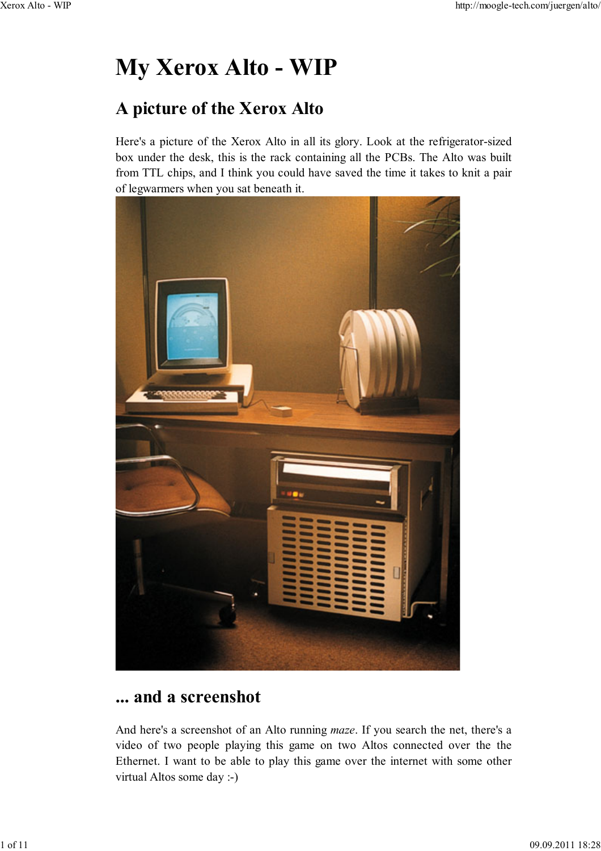# **My Xerox Alto - WIP**

## **A picture of the Xerox Alto**

Here's a picture of the Xerox Alto in all its glory. Look at the refrigerator-sized box under the desk, this is the rack containing all the PCBs. The Alto was built from TTL chips, and I think you could have saved the time it takes to knit a pair of legwarmers when you sat beneath it.



### **... and a screenshot**

And here's a screenshot of an Alto running *maze*. If you search the net, there's a video of two people playing this game on two Altos connected over the the Ethernet. I want to be able to play this game over the internet with some other virtual Altos some day :-)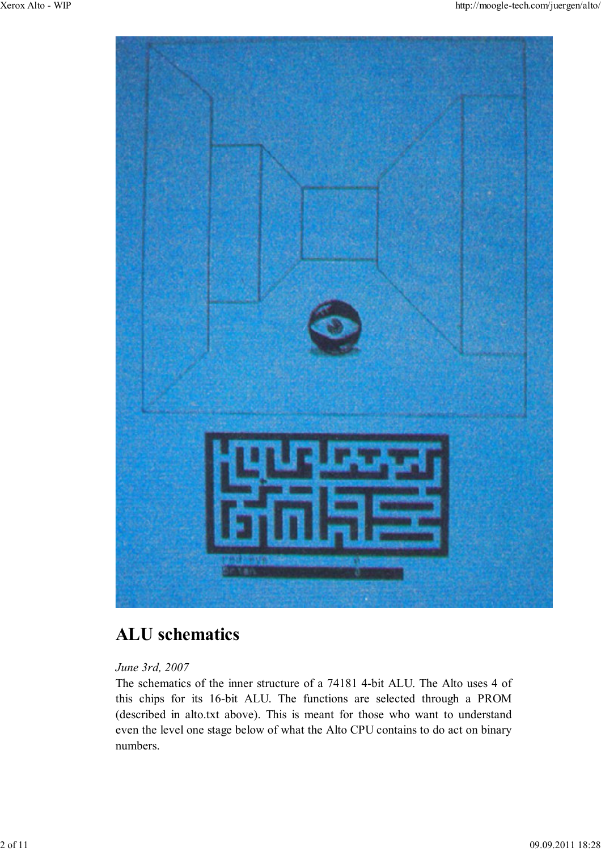

# **ALU schematics**

#### *June 3rd, 2007*

The schematics of the inner structure of a 74181 4-bit ALU. The Alto uses 4 of this chips for its 16-bit ALU. The functions are selected through a PROM (described in alto.txt above). This is meant for those who want to understand even the level one stage below of what the Alto CPU contains to do act on binary numbers.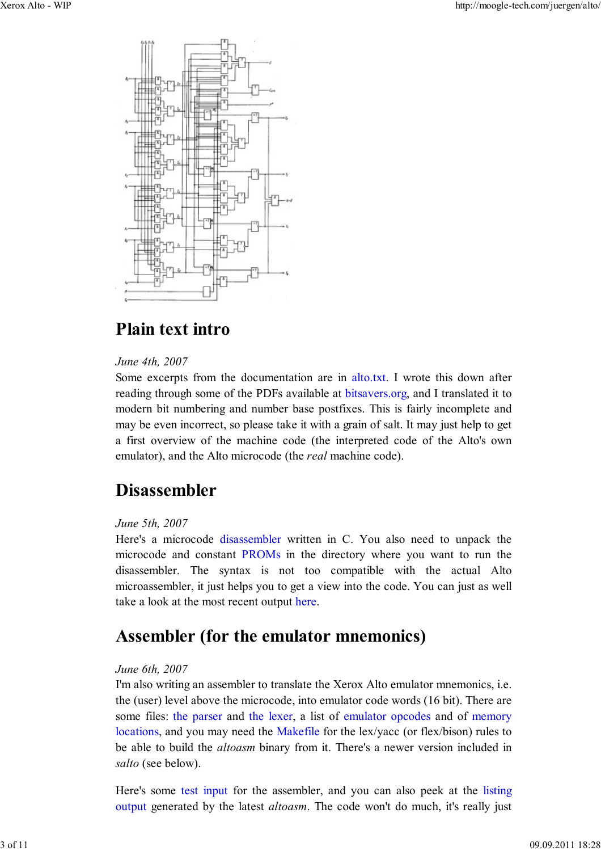

# **Plain text intro**

#### *June 4th, 2007*

Some excerpts from the documentation are in alto.txt. I wrote this down after reading through some of the PDFs available at bitsavers.org, and I translated it to modern bit numbering and number base postfixes. This is fairly incomplete and may be even incorrect, so please take it with a grain of salt. It may just help to get a first overview of the machine code (the interpreted code of the Alto's own emulator), and the Alto microcode (the *real* machine code).

# **Disassembler**

#### *June 5th, 2007*

Here's a microcode disassembler written in C. You also need to unpack the microcode and constant PROMs in the directory where you want to run the disassembler. The syntax is not too compatible with the actual Alto microassembler, it just helps you to get a view into the code. You can just as well take a look at the most recent output here.

### **Assembler (for the emulator mnemonics)**

#### *June 6th, 2007*

I'm also writing an assembler to translate the Xerox Alto emulator mnemonics, i.e. the (user) level above the microcode, into emulator code words (16 bit). There are some files: the parser and the lexer, a list of emulator opcodes and of memory locations, and you may need the Makefile for the lex/yacc (or flex/bison) rules to be able to build the *altoasm* binary from it. There's a newer version included in *salto* (see below).

Here's some test input for the assembler, and you can also peek at the listing output generated by the latest *altoasm*. The code won't do much, it's really just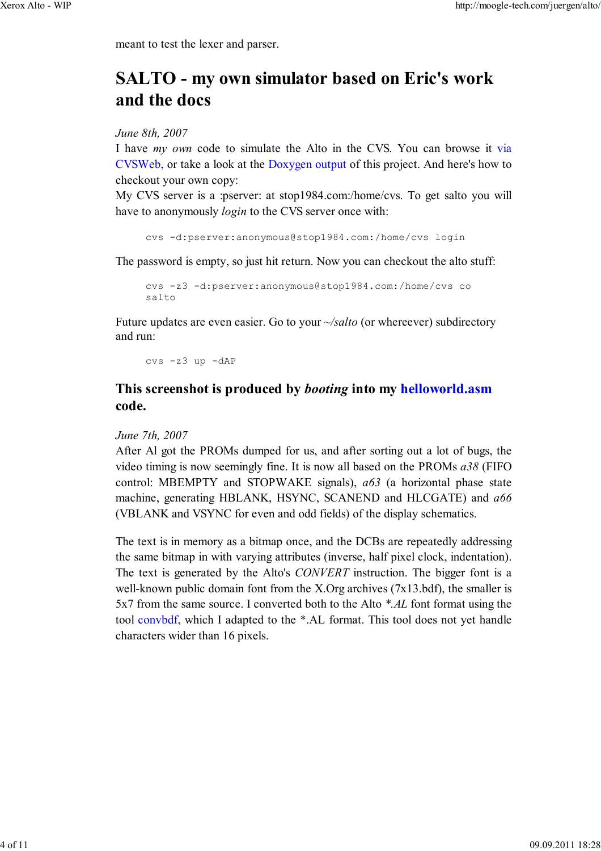meant to test the lexer and parser.

# **SALTO - my own simulator based on Eric's work and the docs**

*June 8th, 2007*

I have *my own* code to simulate the Alto in the CVS. You can browse it via CVSWeb, or take a look at the Doxygen output of this project. And here's how to checkout your own copy:

My CVS server is a :pserver: at stop1984.com:/home/cvs. To get salto you will have to anonymously *login* to the CVS server once with:

cvs -d:pserver:anonymous@stop1984.com:/home/cvs login

The password is empty, so just hit return. Now you can checkout the alto stuff:

```
cvs -z3 -d:pserver:anonymous@stop1984.com:/home/cvs co
salto
```
Future updates are even easier. Go to your *~/salto* (or whereever) subdirectory and run:

cvs -z3 up -dAP

### **This screenshot is produced by** *booting* **into my helloworld.asm code.**

#### *June 7th, 2007*

After Al got the PROMs dumped for us, and after sorting out a lot of bugs, the video timing is now seemingly fine. It is now all based on the PROMs *a38* (FIFO control: MBEMPTY and STOPWAKE signals), *a63* (a horizontal phase state machine, generating HBLANK, HSYNC, SCANEND and HLCGATE) and *a66* (VBLANK and VSYNC for even and odd fields) of the display schematics.

The text is in memory as a bitmap once, and the DCBs are repeatedly addressing the same bitmap in with varying attributes (inverse, half pixel clock, indentation). The text is generated by the Alto's *CONVERT* instruction. The bigger font is a well-known public domain font from the X.Org archives (7x13.bdf), the smaller is 5x7 from the same source. I converted both to the Alto *\*.AL* font format using the tool convbdf, which I adapted to the \*.AL format. This tool does not yet handle characters wider than 16 pixels.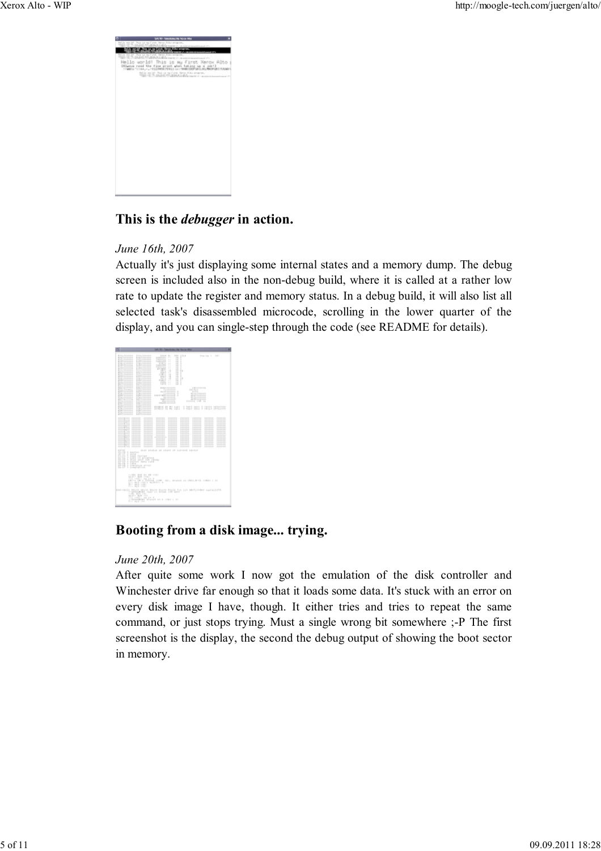

### **This is the** *debugger* **in action.**

#### *June 16th, 2007*

Actually it's just displaying some internal states and a memory dump. The debug screen is included also in the non-debug build, where it is called at a rather low rate to update the register and memory status. In a debug build, it will also list all selected task's disassembled microcode, scrolling in the lower quarter of the display, and you can single-step through the code (see README for details).



### **Booting from a disk image... trying.**

#### *June 20th, 2007*

After quite some work I now got the emulation of the disk controller and Winchester drive far enough so that it loads some data. It's stuck with an error on every disk image I have, though. It either tries and tries to repeat the same command, or just stops trying. Must a single wrong bit somewhere ;-P The first screenshot is the display, the second the debug output of showing the boot sector in memory.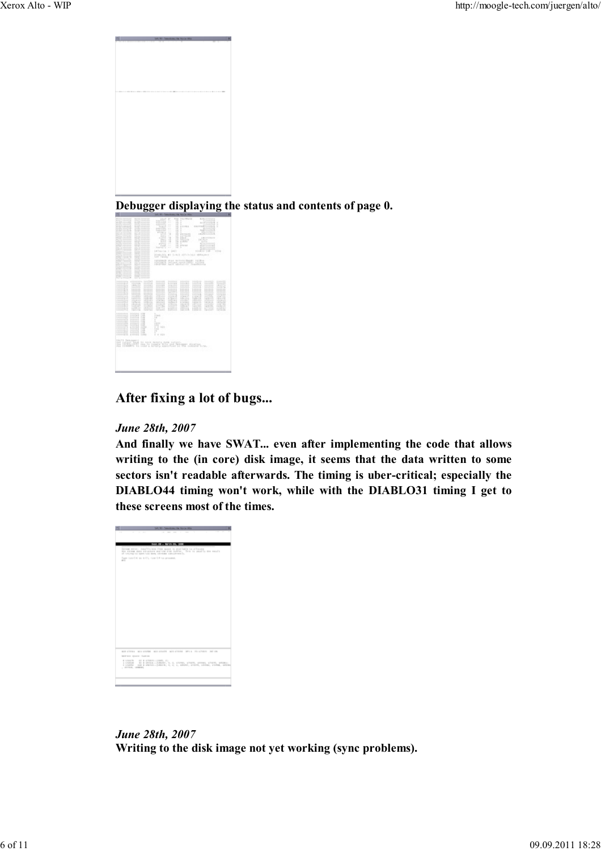

**Debugger displaying the status and contents of page 0.**



### **After fixing a lot of bugs...**

#### *June 28th, 2007*

**And finally we have SWAT... even after implementing the code that allows writing to the (in core) disk image, it seems that the data written to some sectors isn't readable afterwards. The timing is uber-critical; especially the DIABLO44 timing won't work, while with the DIABLO31 timing I get to these screens most of the times.**



*June 28th, 2007* **Writing to the disk image not yet working (sync problems).**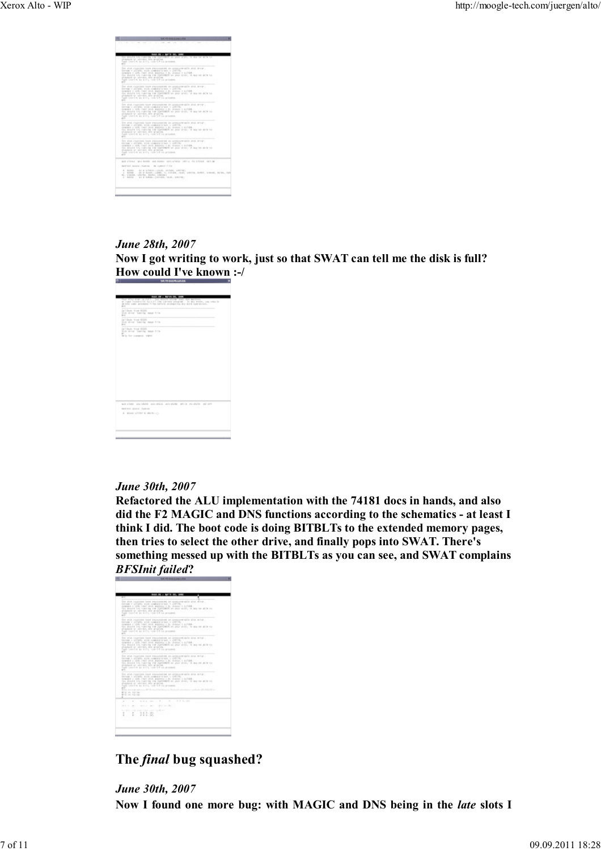

#### *June 28th, 2007* Now I got writing to work, just so that SWAT can tell me the disk is full? **How could I've known :-/**



#### *June 30th, 2007*

**Refactored the ALU implementation with the 74181 docs in hands, and also** did the F2 MAGIC and DNS functions according to the schematics - at least I **think I did. The boot code is doing BITBLTs to the extended memory pages, then tries to select the other drive, and finally pops into SWAT. There's something messed up with the BITBLTs as you can see, and SWAT complains** *BFSInit failed***?**

|                                                                                                                                                                                                                                                                                                                                                                             | Sept 28. - Mr. 4 191, 1980<br>-                                                                                                                                                                                                                                                                                                                                                                                                                 |  |  |  |
|-----------------------------------------------------------------------------------------------------------------------------------------------------------------------------------------------------------------------------------------------------------------------------------------------------------------------------------------------------------------------------|-------------------------------------------------------------------------------------------------------------------------------------------------------------------------------------------------------------------------------------------------------------------------------------------------------------------------------------------------------------------------------------------------------------------------------------------------|--|--|--|
|                                                                                                                                                                                                                                                                                                                                                                             | The shut road cars have exposured un consumerishe shut show.<br>loves - 11 toly 4 to communicate r 247.9.<br>comment = 1281 real sind, andream = 61 inapps = 127-88.<br>For should try running the ISPEROX on your dink; in my be skill to:<br>shapes or spread, and problem.<br>last consider as any i, came to be as present.<br>vi<br>$\sim$                                                                                                 |  |  |  |
| The stud, relations have exposured an unrequirement star and are at<br>to you + 21 you, 4 hd company's look + 218 U.V.<br>comment to side, you'll since, goingson to be construct to applied.<br>For shorts and conving and institute or pair does, in my be site on<br>stagement or streams, and printing.<br>lush consilet as \$171, convict to an arounded.<br>en i<br>- |                                                                                                                                                                                                                                                                                                                                                                                                                                                 |  |  |  |
| The study road time time exposurement on construction study structure<br>lower - an old stre comments and a strictly.<br>comment to sufficiental sites, amounts or the chances in authors.<br>The strains and running and clarified on pape data, in my be suffered<br>shapes or sirvery are public.<br>last control as \$175, can be to present.<br>m<br>$\sim$            |                                                                                                                                                                                                                                                                                                                                                                                                                                                 |  |  |  |
|                                                                                                                                                                                                                                                                                                                                                                             | The study room time that education as an interactivity state structure.<br>to was a growing wind comment with a gold by<br>comment is sales year) alone, address to B. training in authors.<br>the second try reports the institute of your disk, in our or sole to<br>statement or allevant and problem.<br>Fush convicts, an ATTL, come to b no presented.<br>r=<br>$\sim$                                                                    |  |  |  |
|                                                                                                                                                                                                                                                                                                                                                                             | line and runs fore hand expounded as an and post-pole and strip-<br>INTER 1 ECSEL ANA INBURS NEW 1 EACH<br>printed a side that sink andreas a b. transp a LLT-201.<br>The streets too running the barriership on your disk, in our on give to<br>statement or excession who promines.<br>Full totally as \$115, take to his present.<br>$\mathbb{R}^n$<br>The morning above a \$2.50 at all between the transportance and also \$5.45 killed at |  |  |  |
|                                                                                                                                                                                                                                                                                                                                                                             | Mid-St. Saving<br><b>STORY SERVICE</b><br>r.                                                                                                                                                                                                                                                                                                                                                                                                    |  |  |  |
|                                                                                                                                                                                                                                                                                                                                                                             | at the attempt of the control of the an-<br>$\sim$                                                                                                                                                                                                                                                                                                                                                                                              |  |  |  |
|                                                                                                                                                                                                                                                                                                                                                                             | and the fact that                                                                                                                                                                                                                                                                                                                                                                                                                               |  |  |  |
|                                                                                                                                                                                                                                                                                                                                                                             | the company, consider document and any company and residents<br>$1$ $1$ $11.5$ (0)<br>$\sim$<br>P. E. A., 1871                                                                                                                                                                                                                                                                                                                                  |  |  |  |
|                                                                                                                                                                                                                                                                                                                                                                             |                                                                                                                                                                                                                                                                                                                                                                                                                                                 |  |  |  |

### **The** *final* **bug squashed?**

*June 30th, 2007* Now I found one more bug: with MAGIC and DNS being in the *late* slots I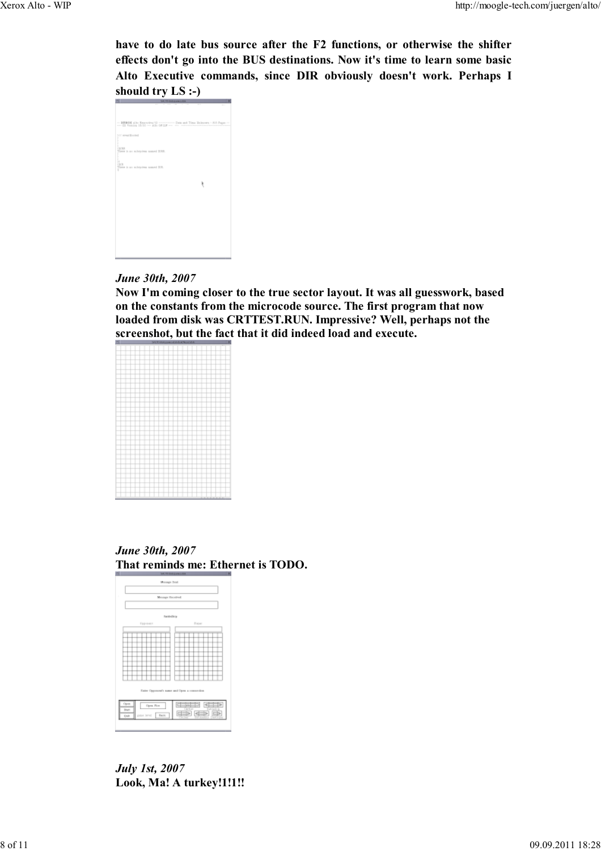**have to do late bus source after the F2 functions, or otherwise the shifter effects don't go into the BUS destinations. 2ow it's time to learn some basic Alto Executive commands, since DIR obviously doesn't work. Perhaps I should try LS :-)**



#### *June 30th, 2007*

Now I'm coming closer to the true sector layout. It was all guesswork, based **on the constants from the microcode source. The first program that now loaded from disk was CRTTEST.RU2. Impressive? Well, perhaps not the screenshot, but the fact that it did indeed load and execute.**

#### *June 30th, 2007* **That reminds me: Ethernet is TODO.**



*July 1st, 2007* **Look, Ma! A turkey!1!1!!**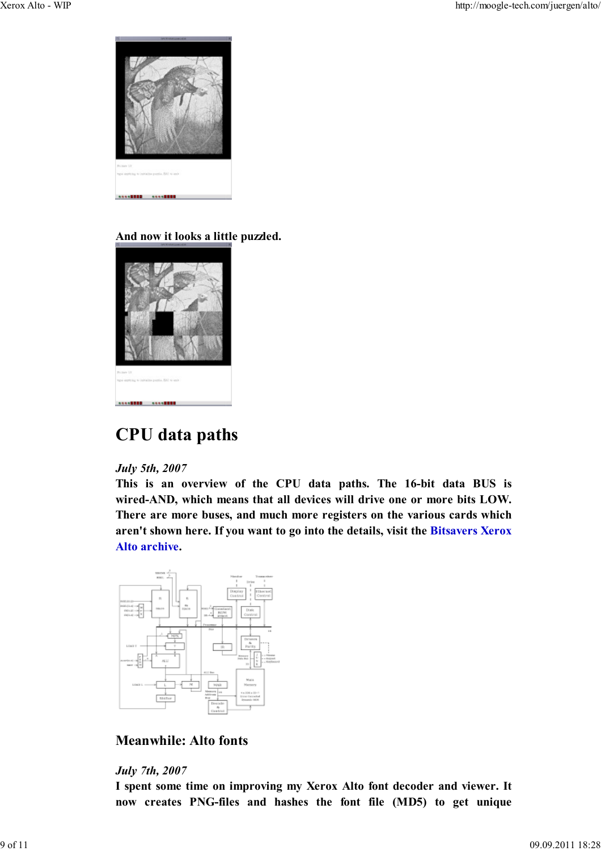

### **And now it looks a little puzzled.**



# **CPU data paths**

#### *July 5th, 2007*

**This is an overview of the CPU data paths. The 16-bit data BUS is** wired-AND, which means that all devices will drive one or more bits LOW. **There are more buses, and much more registers on the various cards which aren't shown here. If you want to go into the details, visit the Bitsavers Xerox Alto archive.**



### **Meanwhile: Alto fonts**

#### *July 7th, 2007*

**I spent some time on improving my Xerox Alto font decoder and viewer. It** now creates PNG-files and hashes the font file (MD5) to get unique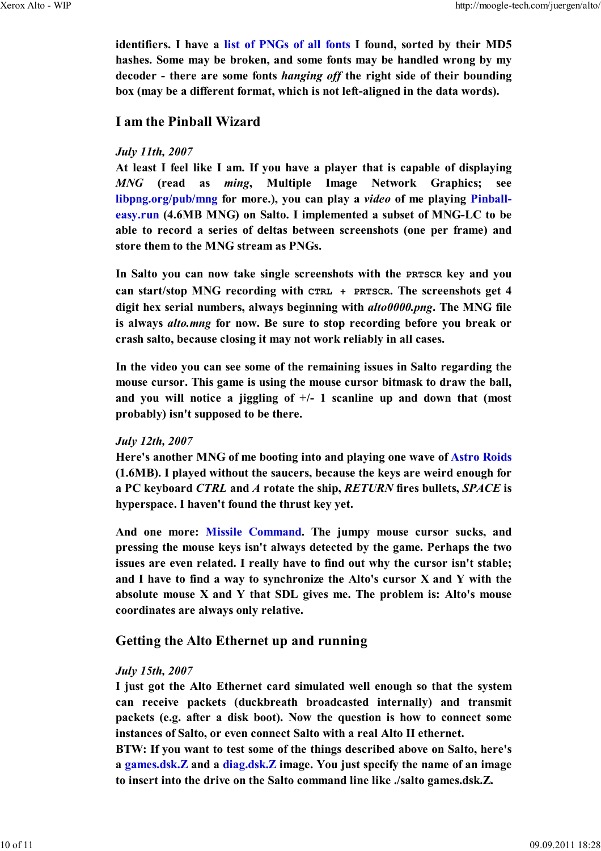identifiers. I have a list of PNGs of all fonts I found, sorted by their MD5 **hashes. Some may be broken, and some fonts may be handled wrong by my decoder - there are some fonts** *hanging off* **the right side of their bounding box (may be a different format, which is not left-aligned in the data words).**

#### **I am the Pinball Wizard**

#### *July 11th, 2007*

**At least I feel like I am. If you have a player that is capable of displaying** *MNG* (read as *ming*, Multiple Image Network Graphics; see **libpng.org/pub/mng for more.), you can play a** *video* **of me playing Pinballeasy.run (4.6MB MNG) on Salto. I implemented a subset of MNG-LC to be able to record a series of deltas between screenshots (one per frame) and** store them to the MNG stream as PNGs.

In Salto you can now take single screenshots with the **PRTSCR** key and you **can start/stop M2G recording with CTRL + PRTSCR. The screenshots get 4** digit hex serial numbers, always beginning with  $\frac{alto0000}{p}$ , The MNG file **is always** *alto.mng* **for now. Be sure to stop recording before you break or crash salto, because closing it may not work reliably in all cases.**

**In the video you can see some of the remaining issues in Salto regarding the mouse cursor. This game is using the mouse cursor bitmask to draw the ball, and you will notice a jiggling of +/- 1 scanline up and down that (most probably) isn't supposed to be there.**

#### *July 12th, 2007*

**Here's another M2G of me booting into and playing one wave of Astro Roids (1.6MB). I played without the saucers, because the keys are weird enough for a PC keyboard** *CTRL* **and** *A* **rotate the ship,** *RETUR* **fires bullets,** *SPACE* **is hyperspace. I haven't found the thrust key yet.**

**And one more: Missile Command. The jumpy mouse cursor sucks, and pressing the mouse keys isn't always detected by the game. Perhaps the two issues are even related. I really have to find out why the cursor isn't stable; and I have to find a way to synchronize the Alto's cursor X and Y with the absolute mouse X and Y that SDL gives me. The problem is: Alto's mouse coordinates are always only relative.**

#### **Getting the Alto Ethernet up and running**

#### *July 15th, 2007*

**I just got the Alto Ethernet card simulated well enough so that the system can receive packets (duckbreath broadcasted internally) and transmit** packets (e.g. after a disk boot). Now the question is how to connect some **instances of Salto, or even connect Salto with a real Alto II ethernet.**

**BTW: If you want to test some of the things described above on Salto, here's a games.dsk.Z and a diag.dsk.Z image. You just specify the name of an image to insert into the drive on the Salto command line like ./salto games.dsk.Z.**